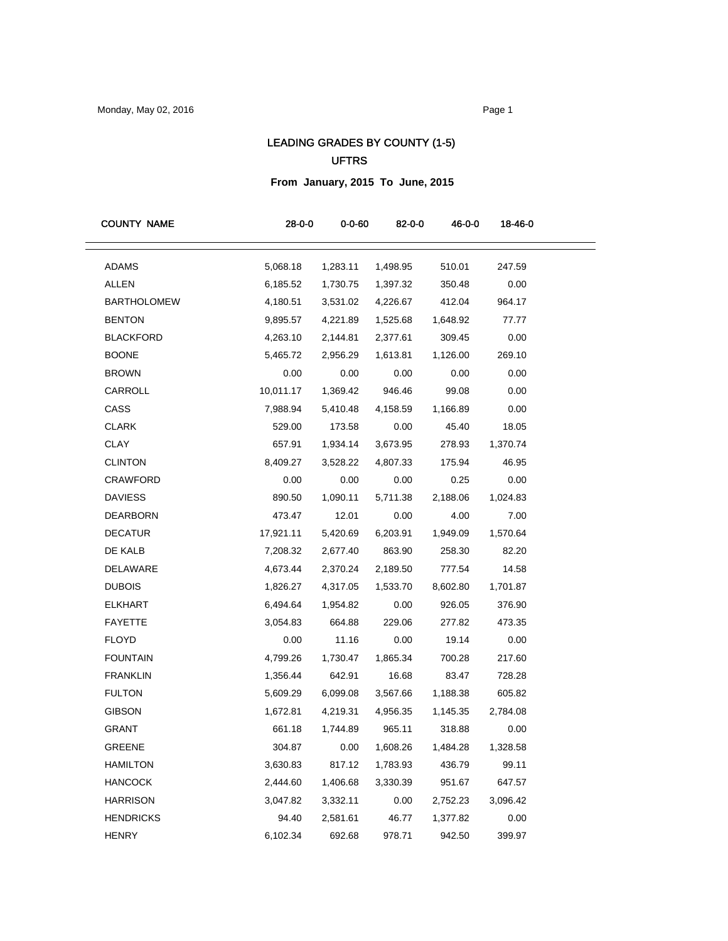## LEADING GRADES BY COUNTY (1-5) UFTRS

**From January, 2015 To June, 2015**

| <b>COUNTY NAME</b> | $28 - 0 - 0$ | $0 - 0 - 60$ | 82-0-0   | 46-0-0   | 18-46-0  |
|--------------------|--------------|--------------|----------|----------|----------|
| <b>ADAMS</b>       | 5,068.18     | 1,283.11     | 1,498.95 | 510.01   | 247.59   |
| <b>ALLEN</b>       | 6,185.52     | 1,730.75     | 1,397.32 | 350.48   | 0.00     |
| <b>BARTHOLOMEW</b> | 4,180.51     | 3,531.02     | 4,226.67 | 412.04   | 964.17   |
| <b>BENTON</b>      | 9,895.57     | 4,221.89     | 1,525.68 | 1,648.92 | 77.77    |
| <b>BLACKFORD</b>   | 4,263.10     | 2,144.81     | 2,377.61 | 309.45   | 0.00     |
| <b>BOONE</b>       | 5,465.72     | 2,956.29     | 1,613.81 | 1,126.00 | 269.10   |
| <b>BROWN</b>       | 0.00         | 0.00         | 0.00     | 0.00     | 0.00     |
| CARROLL            | 10,011.17    | 1,369.42     | 946.46   | 99.08    | 0.00     |
| CASS               | 7,988.94     | 5,410.48     | 4,158.59 | 1,166.89 | 0.00     |
| <b>CLARK</b>       | 529.00       | 173.58       | 0.00     | 45.40    | 18.05    |
| <b>CLAY</b>        | 657.91       | 1,934.14     | 3,673.95 | 278.93   | 1,370.74 |
| <b>CLINTON</b>     | 8,409.27     | 3,528.22     | 4,807.33 | 175.94   | 46.95    |
| <b>CRAWFORD</b>    | 0.00         | 0.00         | 0.00     | 0.25     | 0.00     |
| <b>DAVIESS</b>     | 890.50       | 1,090.11     | 5,711.38 | 2,188.06 | 1,024.83 |
| DEARBORN           | 473.47       | 12.01        | 0.00     | 4.00     | 7.00     |
| <b>DECATUR</b>     | 17,921.11    | 5,420.69     | 6,203.91 | 1,949.09 | 1,570.64 |
| DE KALB            | 7,208.32     | 2,677.40     | 863.90   | 258.30   | 82.20    |
| DELAWARE           | 4,673.44     | 2,370.24     | 2,189.50 | 777.54   | 14.58    |
| <b>DUBOIS</b>      | 1,826.27     | 4,317.05     | 1,533.70 | 8,602.80 | 1,701.87 |
| <b>ELKHART</b>     | 6,494.64     | 1,954.82     | 0.00     | 926.05   | 376.90   |
| <b>FAYETTE</b>     | 3,054.83     | 664.88       | 229.06   | 277.82   | 473.35   |
| <b>FLOYD</b>       | 0.00         | 11.16        | 0.00     | 19.14    | 0.00     |
| <b>FOUNTAIN</b>    | 4,799.26     | 1,730.47     | 1,865.34 | 700.28   | 217.60   |
| <b>FRANKLIN</b>    | 1,356.44     | 642.91       | 16.68    | 83.47    | 728.28   |
| <b>FULTON</b>      | 5,609.29     | 6,099.08     | 3,567.66 | 1,188.38 | 605.82   |
| <b>GIBSON</b>      | 1,672.81     | 4,219.31     | 4,956.35 | 1,145.35 | 2,784.08 |
| <b>GRANT</b>       | 661.18       | 1,744.89     | 965.11   | 318.88   | 0.00     |
| GREENE             | 304.87       | 0.00         | 1,608.26 | 1,484.28 | 1,328.58 |
| HAMILTON           | 3,630.83     | 817.12       | 1,783.93 | 436.79   | 99.11    |
| <b>HANCOCK</b>     | 2,444.60     | 1,406.68     | 3,330.39 | 951.67   | 647.57   |
| <b>HARRISON</b>    | 3,047.82     | 3,332.11     | 0.00     | 2,752.23 | 3,096.42 |
| <b>HENDRICKS</b>   | 94.40        | 2,581.61     | 46.77    | 1,377.82 | 0.00     |
| <b>HENRY</b>       | 6,102.34     | 692.68       | 978.71   | 942.50   | 399.97   |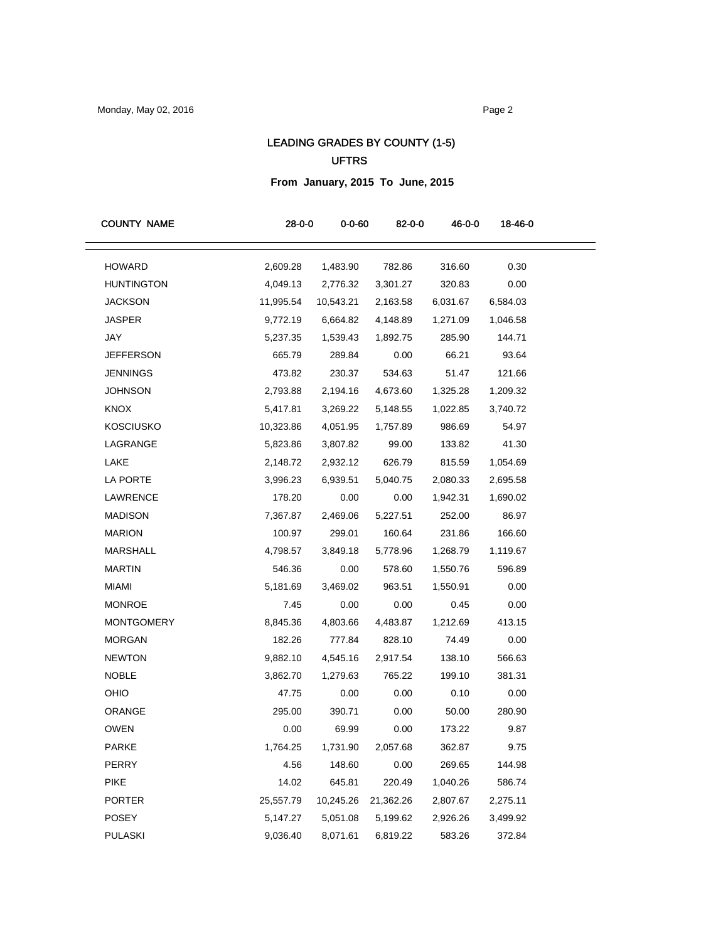## LEADING GRADES BY COUNTY (1-5) UFTRS

**From January, 2015 To June, 2015**

| <b>COUNTY NAME</b> | $28 - 0 - 0$ | $0 - 0 - 60$ | 82-0-0    | 46-0-0   | 18-46-0  |
|--------------------|--------------|--------------|-----------|----------|----------|
| <b>HOWARD</b>      | 2,609.28     | 1,483.90     | 782.86    | 316.60   | 0.30     |
| <b>HUNTINGTON</b>  | 4,049.13     | 2,776.32     | 3,301.27  | 320.83   | 0.00     |
| <b>JACKSON</b>     | 11,995.54    | 10,543.21    | 2,163.58  | 6,031.67 | 6,584.03 |
| <b>JASPER</b>      | 9,772.19     | 6,664.82     | 4,148.89  | 1,271.09 | 1,046.58 |
| JAY                | 5,237.35     | 1,539.43     | 1,892.75  | 285.90   | 144.71   |
| <b>JEFFERSON</b>   | 665.79       | 289.84       | 0.00      | 66.21    | 93.64    |
| <b>JENNINGS</b>    | 473.82       | 230.37       | 534.63    | 51.47    | 121.66   |
| <b>JOHNSON</b>     | 2,793.88     | 2,194.16     | 4,673.60  | 1,325.28 | 1,209.32 |
| <b>KNOX</b>        | 5,417.81     | 3,269.22     | 5,148.55  | 1,022.85 | 3,740.72 |
| <b>KOSCIUSKO</b>   | 10,323.86    | 4,051.95     | 1,757.89  | 986.69   | 54.97    |
| LAGRANGE           | 5,823.86     | 3,807.82     | 99.00     | 133.82   | 41.30    |
| LAKE               | 2,148.72     | 2,932.12     | 626.79    | 815.59   | 1,054.69 |
| LA PORTE           | 3,996.23     | 6,939.51     | 5,040.75  | 2,080.33 | 2,695.58 |
| LAWRENCE           | 178.20       | 0.00         | 0.00      | 1,942.31 | 1,690.02 |
| <b>MADISON</b>     | 7,367.87     | 2,469.06     | 5,227.51  | 252.00   | 86.97    |
| <b>MARION</b>      | 100.97       | 299.01       | 160.64    | 231.86   | 166.60   |
| <b>MARSHALL</b>    | 4,798.57     | 3,849.18     | 5,778.96  | 1,268.79 | 1,119.67 |
| <b>MARTIN</b>      | 546.36       | 0.00         | 578.60    | 1,550.76 | 596.89   |
| <b>MIAMI</b>       | 5,181.69     | 3,469.02     | 963.51    | 1,550.91 | 0.00     |
| <b>MONROE</b>      | 7.45         | 0.00         | 0.00      | 0.45     | 0.00     |
| <b>MONTGOMERY</b>  | 8,845.36     | 4,803.66     | 4,483.87  | 1,212.69 | 413.15   |
| <b>MORGAN</b>      | 182.26       | 777.84       | 828.10    | 74.49    | 0.00     |
| <b>NEWTON</b>      | 9,882.10     | 4,545.16     | 2,917.54  | 138.10   | 566.63   |
| <b>NOBLE</b>       | 3,862.70     | 1,279.63     | 765.22    | 199.10   | 381.31   |
| OHIO               | 47.75        | 0.00         | 0.00      | 0.10     | 0.00     |
| ORANGE             | 295.00       | 390.71       | 0.00      | 50.00    | 280.90   |
| <b>OWEN</b>        | 0.00         | 69.99        | 0.00      | 173.22   | 9.87     |
| <b>PARKE</b>       | 1,764.25     | 1,731.90     | 2,057.68  | 362.87   | 9.75     |
| PERRY              | 4.56         | 148.60       | 0.00      | 269.65   | 144.98   |
| <b>PIKE</b>        | 14.02        | 645.81       | 220.49    | 1,040.26 | 586.74   |
| <b>PORTER</b>      | 25,557.79    | 10,245.26    | 21,362.26 | 2,807.67 | 2,275.11 |
| POSEY              | 5,147.27     | 5,051.08     | 5,199.62  | 2,926.26 | 3,499.92 |
| <b>PULASKI</b>     | 9,036.40     | 8,071.61     | 6,819.22  | 583.26   | 372.84   |